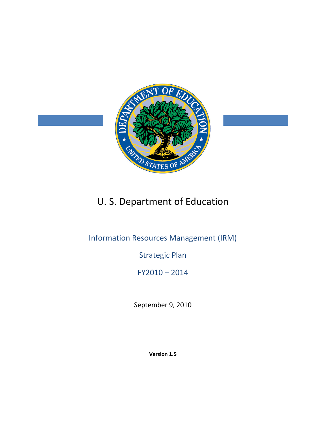

# U. S. Department of Education

## Information Resources Management (IRM)

## Strategic Plan

## FY2010 – 2014

September 9, 2010

**Version 1.5**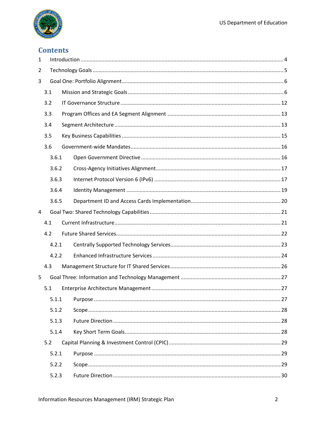

## **Contents**

| $\mathbf{1}$   |       |  |  |  |  |  |
|----------------|-------|--|--|--|--|--|
| $\overline{2}$ |       |  |  |  |  |  |
| 3              |       |  |  |  |  |  |
|                | 3.1   |  |  |  |  |  |
|                | 3.2   |  |  |  |  |  |
|                | 3.3   |  |  |  |  |  |
|                | 3.4   |  |  |  |  |  |
|                | 3.5   |  |  |  |  |  |
|                | 3.6   |  |  |  |  |  |
|                | 3.6.1 |  |  |  |  |  |
|                | 3.6.2 |  |  |  |  |  |
|                | 3.6.3 |  |  |  |  |  |
|                | 3.6.4 |  |  |  |  |  |
|                | 3.6.5 |  |  |  |  |  |
| $\overline{4}$ |       |  |  |  |  |  |
|                | 4.1   |  |  |  |  |  |
|                | 4.2   |  |  |  |  |  |
|                | 4.2.1 |  |  |  |  |  |
|                | 4.2.2 |  |  |  |  |  |
|                | 4.3   |  |  |  |  |  |
| 5              |       |  |  |  |  |  |
|                | 5.1   |  |  |  |  |  |
|                | 5.1.1 |  |  |  |  |  |
|                | 5.1.2 |  |  |  |  |  |
|                | 5.1.3 |  |  |  |  |  |
|                | 5.1.4 |  |  |  |  |  |
|                | 5.2   |  |  |  |  |  |
|                | 5.2.1 |  |  |  |  |  |
|                | 5.2.2 |  |  |  |  |  |
|                | 5.2.3 |  |  |  |  |  |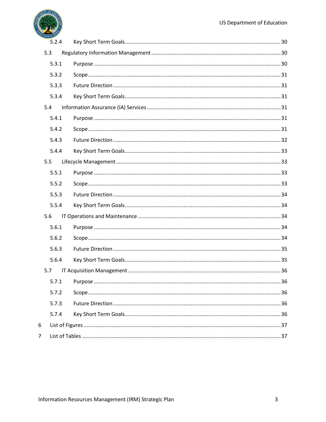

|                | 5.2.4 |  |
|----------------|-------|--|
| 5.3            |       |  |
|                | 5.3.1 |  |
|                | 5.3.2 |  |
|                | 5.3.3 |  |
|                | 5.3.4 |  |
| 5.4            |       |  |
|                | 5.4.1 |  |
|                | 5.4.2 |  |
|                | 5.4.3 |  |
|                | 5.4.4 |  |
| 5.5            |       |  |
|                | 5.5.1 |  |
|                | 5.5.2 |  |
|                | 5.5.3 |  |
|                | 5.5.4 |  |
| 5.6            |       |  |
|                | 5.6.1 |  |
|                | 5.6.2 |  |
|                | 5.6.3 |  |
|                | 5.6.4 |  |
| 5.7            |       |  |
|                | 5.7.1 |  |
|                | 5.7.2 |  |
|                | 5.7.3 |  |
|                | 5.7.4 |  |
| 6              |       |  |
| $\overline{7}$ |       |  |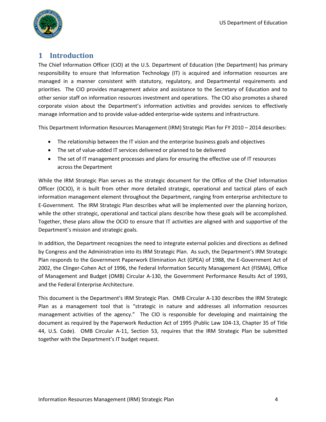

## <span id="page-3-0"></span>**1 Introduction**

The Chief Information Officer (CIO) at the U.S. Department of Education (the Department) has primary responsibility to ensure that Information Technology (IT) is acquired and information resources are managed in a manner consistent with statutory, regulatory, and Departmental requirements and priorities. The CIO provides management advice and assistance to the Secretary of Education and to other senior staff on information resources investment and operations. The CIO also promotes a shared corporate vision about the Department's information activities and provides services to effectively manage information and to provide value-added enterprise-wide systems and infrastructure.

This Department Information Resources Management (IRM) Strategic Plan for FY 2010 – 2014 describes:

- The relationship between the IT vision and the enterprise business goals and objectives
- The set of value-added IT services delivered or planned to be delivered
- The set of IT management processes and plans for ensuring the effective use of IT resources across the Department

While the IRM Strategic Plan serves as the strategic document for the Office of the Chief Information Officer (OCIO), it is built from other more detailed strategic, operational and tactical plans of each information management element throughout the Department, ranging from enterprise architecture to E-Government. The IRM Strategic Plan describes what will be implemented over the planning horizon, while the other strategic, operational and tactical plans describe how these goals will be accomplished. Together, these plans allow the OCIO to ensure that IT activities are aligned with and supportive of the Department's mission and strategic goals.

In addition, the Department recognizes the need to integrate external policies and directions as defined by Congress and the Administration into its IRM Strategic Plan. As such, the Department's IRM Strategic Plan responds to the Government Paperwork Elimination Act (GPEA) of 1988, the E-Government Act of 2002, the Clinger-Cohen Act of 1996, the Federal Information Security Management Act (FISMA), Office of Management and Budget (OMB) Circular A-130, the Government Performance Results Act of 1993, and the Federal Enterprise Architecture.

This document is the Department's IRM Strategic Plan. OMB Circular A-130 describes the IRM Strategic Plan as a management tool that is "strategic in nature and addresses all information resources management activities of the agency." The CIO is responsible for developing and maintaining the document as required by the Paperwork Reduction Act of 1995 (Public Law 104-13, Chapter 35 of Title 44, U.S. Code). OMB Circular A-11, Section 53, requires that the IRM Strategic Plan be submitted together with the Department's IT budget request.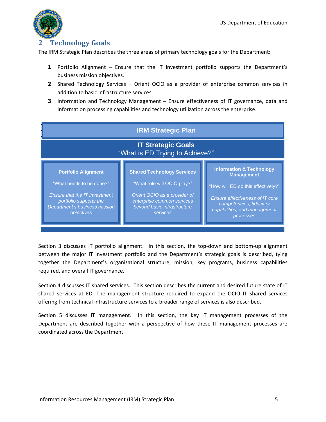

## <span id="page-4-0"></span>**2 Technology Goals**

The IRM Strategic Plan describes the three areas of primary technology goals for the Department:

- **1** Portfolio Alignment Ensure that the IT investment portfolio supports the Department's business mission objectives.
- **2** Shared Technology Services Orient OCIO as a provider of enterprise common services in addition to basic infrastructure services.
- **3** Information and Technology Management Ensure effectiveness of IT governance, data and information processing capabilities and technology utilization across the enterprise.



Section 3 discusses IT portfolio alignment. In this section, the top-down and bottom-up alignment between the major IT investment portfolio and the Department's strategic goals is described, tying together the Department's organizational structure, mission, key programs, business capabilities required, and overall IT governance.

Section 4 discusses IT shared services. This section describes the current and desired future state of IT shared services at ED. The management structure required to expand the OCIO IT shared services offering from technical infrastructure services to a broader range of services is also described.

Section 5 discusses IT management. In this section, the key IT management processes of the Department are described together with a perspective of how these IT management processes are coordinated across the Department.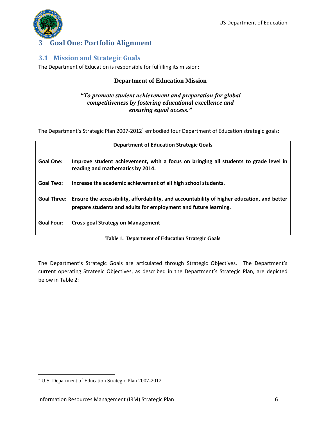

## <span id="page-5-0"></span>**3 Goal One: Portfolio Alignment**

## <span id="page-5-1"></span>**3.1 Mission and Strategic Goals**

The Department of Education is responsible for fulfilling its mission:

### **Department of Education Mission**

*"To promote student achievement and preparation for global competitiveness by fostering educational excellence and ensuring equal access."*

The Department's Strategic Plan 2007-2012<sup>1</sup> embodied four Department of Education strategic goals:

| <b>Department of Education Strategic Goals</b> |                                                                                                                                                                            |  |
|------------------------------------------------|----------------------------------------------------------------------------------------------------------------------------------------------------------------------------|--|
| <b>Goal One:</b>                               | Improve student achievement, with a focus on bringing all students to grade level in<br>reading and mathematics by 2014.                                                   |  |
| <b>Goal Two:</b>                               | Increase the academic achievement of all high school students.                                                                                                             |  |
|                                                | Goal Three: Ensure the accessibility, affordability, and accountability of higher education, and better<br>prepare students and adults for employment and future learning. |  |
| <b>Goal Four:</b>                              | <b>Cross-goal Strategy on Management</b>                                                                                                                                   |  |

**Table 1. Department of Education Strategic Goals** 

<span id="page-5-2"></span>The Department's Strategic Goals are articulated through Strategic Objectives. The Department's current operating Strategic Objectives, as described in the Department's Strategic Plan, are depicted below in Table 2:

 $\overline{\phantom{a}}$ 

<sup>&</sup>lt;sup>1</sup> U.S. Department of Education Strategic Plan 2007-2012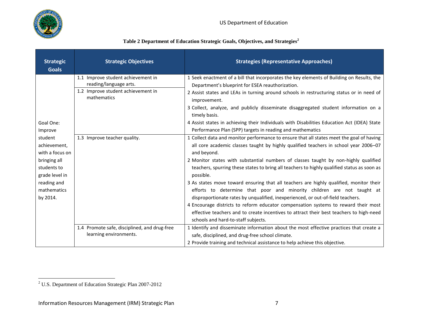

## **Table 2 Department of Education Strategic Goals, Objectives, and Strategies<sup>2</sup>**

<span id="page-6-0"></span>

| <b>Strategic</b><br><b>Goals</b>                                                                                                                              | <b>Strategic Objectives</b>                                                                                                                       | <b>Strategies (Representative Approaches)</b>                                                                                                                                                                                                                                                                                                                                                                                                                                                                                                                                                                                                                                                                                                                                                                                                                                                                                                                                                                                                                                                                                                                                              |
|---------------------------------------------------------------------------------------------------------------------------------------------------------------|---------------------------------------------------------------------------------------------------------------------------------------------------|--------------------------------------------------------------------------------------------------------------------------------------------------------------------------------------------------------------------------------------------------------------------------------------------------------------------------------------------------------------------------------------------------------------------------------------------------------------------------------------------------------------------------------------------------------------------------------------------------------------------------------------------------------------------------------------------------------------------------------------------------------------------------------------------------------------------------------------------------------------------------------------------------------------------------------------------------------------------------------------------------------------------------------------------------------------------------------------------------------------------------------------------------------------------------------------------|
| Goal One:<br>Improve<br>student<br>achievement,<br>with a focus on<br>bringing all<br>students to<br>grade level in<br>reading and<br>mathematics<br>by 2014. | 1.1 Improve student achievement in<br>reading/language arts.<br>1.2 Improve student achievement in<br>mathematics<br>1.3 Improve teacher quality. | 1 Seek enactment of a bill that incorporates the key elements of Building on Results, the<br>Department's blueprint for ESEA reauthorization.<br>2 Assist states and LEAs in turning around schools in restructuring status or in need of<br>improvement.<br>3 Collect, analyze, and publicly disseminate disaggregated student information on a<br>timely basis.<br>4 Assist states in achieving their Individuals with Disabilities Education Act (IDEA) State<br>Performance Plan (SPP) targets in reading and mathematics<br>1 Collect data and monitor performance to ensure that all states meet the goal of having<br>all core academic classes taught by highly qualified teachers in school year 2006-07<br>and beyond.<br>2 Monitor states with substantial numbers of classes taught by non-highly qualified<br>teachers, spurring these states to bring all teachers to highly qualified status as soon as<br>possible.<br>3 As states move toward ensuring that all teachers are highly qualified, monitor their<br>efforts to determine that poor and minority children are not taught at<br>disproportionate rates by unqualified, inexperienced, or out-of-field teachers. |
|                                                                                                                                                               | 1.4 Promote safe, disciplined, and drug-free<br>learning environments.                                                                            | 4 Encourage districts to reform educator compensation systems to reward their most<br>effective teachers and to create incentives to attract their best teachers to high-need<br>schools and hard-to-staff subjects.<br>1 Identify and disseminate information about the most effective practices that create a<br>safe, disciplined, and drug-free school climate.                                                                                                                                                                                                                                                                                                                                                                                                                                                                                                                                                                                                                                                                                                                                                                                                                        |
|                                                                                                                                                               |                                                                                                                                                   | 2 Provide training and technical assistance to help achieve this objective.                                                                                                                                                                                                                                                                                                                                                                                                                                                                                                                                                                                                                                                                                                                                                                                                                                                                                                                                                                                                                                                                                                                |

<sup>&</sup>lt;sup>2</sup> U.S. Department of Education Strategic Plan 2007-2012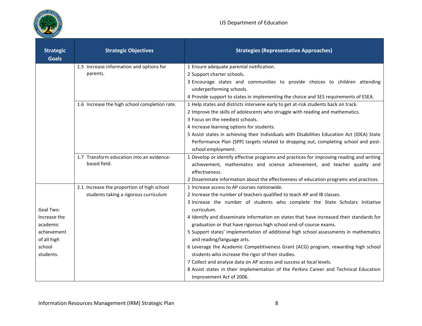

| <b>Strategic</b><br><b>Goals</b> | <b>Strategic Objectives</b>                                                         | <b>Strategies (Representative Approaches)</b>                                                                                         |
|----------------------------------|-------------------------------------------------------------------------------------|---------------------------------------------------------------------------------------------------------------------------------------|
|                                  | 1.5 Increase information and options for                                            | 1 Ensure adequate parental notification.                                                                                              |
|                                  | parents.                                                                            | 2 Support charter schools.                                                                                                            |
|                                  |                                                                                     | 3 Encourage states and communities to provide choices to children attending                                                           |
|                                  |                                                                                     | underperforming schools.                                                                                                              |
|                                  |                                                                                     | 4 Provide support to states in implementing the choice and SES requirements of ESEA.                                                  |
|                                  | 1.6 Increase the high school completion rate.                                       | 1 Help states and districts intervene early to get at-risk students back on track.                                                    |
|                                  |                                                                                     | 2 Improve the skills of adolescents who struggle with reading and mathematics.                                                        |
|                                  |                                                                                     | 3 Focus on the neediest schools.                                                                                                      |
|                                  |                                                                                     | 4 Increase learning options for students.                                                                                             |
|                                  |                                                                                     | 5 Assist states in achieving their Individuals with Disabilities Education Act (IDEA) State                                           |
|                                  |                                                                                     | Performance Plan (SPP) targets related to dropping out, completing school and post-                                                   |
|                                  |                                                                                     | school employment.                                                                                                                    |
|                                  | 1.7 Transform education into an evidence-<br>based field.                           | 1 Develop or identify effective programs and practices for improving reading and writing                                              |
|                                  |                                                                                     | achievement, mathematics and science achievement, and teacher quality and                                                             |
|                                  |                                                                                     | effectiveness.                                                                                                                        |
|                                  |                                                                                     | 2 Disseminate information about the effectiveness of education programs and practices.<br>1 Increase access to AP courses nationwide. |
|                                  | 2.1 Increase the proportion of high school<br>students taking a rigorous curriculum | 2 Increase the number of teachers qualified to teach AP and IB classes.                                                               |
|                                  |                                                                                     | 3 Increase the number of students who complete the State Scholars Initiative                                                          |
| Goal Two:                        |                                                                                     | curriculum.                                                                                                                           |
| Increase the                     |                                                                                     | 4 Identify and disseminate information on states that have increased their standards for                                              |
| academic                         |                                                                                     | graduation or that have rigorous high school end-of-course exams.                                                                     |
| achievement<br>of all high       |                                                                                     | 5 Support states' implementation of additional high school assessments in mathematics<br>and reading/language arts.                   |
| school                           |                                                                                     | 6 Leverage the Academic Competitiveness Grant (ACG) program, rewarding high school                                                    |
| students.                        |                                                                                     | students who increase the rigor of their studies.                                                                                     |
|                                  |                                                                                     | 7 Collect and analyze data on AP access and success at local levels.                                                                  |
|                                  |                                                                                     | 8 Assist states in their implementation of the Perkins Career and Technical Education                                                 |
|                                  |                                                                                     | Improvement Act of 2006.                                                                                                              |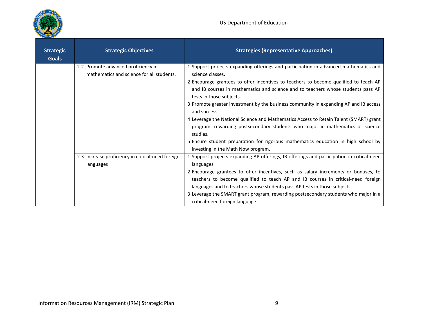

| <b>Strategic</b><br><b>Goals</b> | <b>Strategic Objectives</b>                                                      | <b>Strategies (Representative Approaches)</b>                                                                                                                                                                                                                                                                                              |
|----------------------------------|----------------------------------------------------------------------------------|--------------------------------------------------------------------------------------------------------------------------------------------------------------------------------------------------------------------------------------------------------------------------------------------------------------------------------------------|
|                                  | 2.2 Promote advanced proficiency in<br>mathematics and science for all students. | 1 Support projects expanding offerings and participation in advanced mathematics and<br>science classes.<br>2 Encourage grantees to offer incentives to teachers to become qualified to teach AP<br>and IB courses in mathematics and science and to teachers whose students pass AP                                                       |
|                                  |                                                                                  | tests in those subjects.<br>3 Promote greater investment by the business community in expanding AP and IB access<br>and success                                                                                                                                                                                                            |
|                                  |                                                                                  | 4 Leverage the National Science and Mathematics Access to Retain Talent (SMART) grant<br>program, rewarding postsecondary students who major in mathematics or science<br>studies.                                                                                                                                                         |
|                                  |                                                                                  | 5 Ensure student preparation for rigorous mathematics education in high school by<br>investing in the Math Now program.                                                                                                                                                                                                                    |
|                                  | 2.3 Increase proficiency in critical-need foreign<br>languages                   | 1 Support projects expanding AP offerings, IB offerings and participation in critical-need<br>languages.                                                                                                                                                                                                                                   |
|                                  |                                                                                  | 2 Encourage grantees to offer incentives, such as salary increments or bonuses, to<br>teachers to become qualified to teach AP and IB courses in critical-need foreign<br>languages and to teachers whose students pass AP tests in those subjects.<br>3 Leverage the SMART grant program, rewarding postsecondary students who major in a |
|                                  |                                                                                  | critical-need foreign language.                                                                                                                                                                                                                                                                                                            |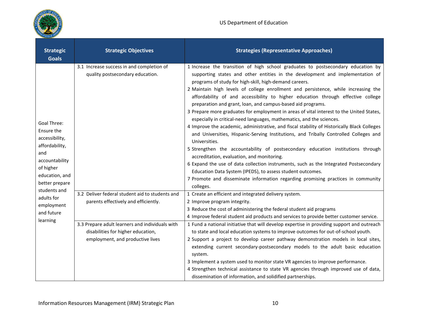

| <b>Strategic</b><br><b>Goals</b>                                                                                                               | <b>Strategic Objectives</b>                                                                                                                                                                                          | <b>Strategies (Representative Approaches)</b>                                                                                                                                                                                                                                                                                                                                                                                                                                                                                                                                                                                                                                                                                                                                                                                                                                                                                                                                                                                                                                                                                                                                                                                               |
|------------------------------------------------------------------------------------------------------------------------------------------------|----------------------------------------------------------------------------------------------------------------------------------------------------------------------------------------------------------------------|---------------------------------------------------------------------------------------------------------------------------------------------------------------------------------------------------------------------------------------------------------------------------------------------------------------------------------------------------------------------------------------------------------------------------------------------------------------------------------------------------------------------------------------------------------------------------------------------------------------------------------------------------------------------------------------------------------------------------------------------------------------------------------------------------------------------------------------------------------------------------------------------------------------------------------------------------------------------------------------------------------------------------------------------------------------------------------------------------------------------------------------------------------------------------------------------------------------------------------------------|
| <b>Goal Three:</b><br>Ensure the<br>accessibility,<br>affordability,<br>and<br>accountability<br>of higher<br>education, and<br>better prepare | 3.1 Increase success in and completion of<br>quality postsecondary education.                                                                                                                                        | 1 Increase the transition of high school graduates to postsecondary education by<br>supporting states and other entities in the development and implementation of<br>programs of study for high-skill, high-demand careers.<br>2 Maintain high levels of college enrollment and persistence, while increasing the<br>affordability of and accessibility to higher education through effective college<br>preparation and grant, loan, and campus-based aid programs.<br>3 Prepare more graduates for employment in areas of vital interest to the United States,<br>especially in critical-need languages, mathematics, and the sciences.<br>4 Improve the academic, administrative, and fiscal stability of Historically Black Colleges<br>and Universities, Hispanic-Serving Institutions, and Tribally Controlled Colleges and<br>Universities.<br>5 Strengthen the accountability of postsecondary education institutions through<br>accreditation, evaluation, and monitoring.<br>6 Expand the use of data collection instruments, such as the Integrated Postsecondary<br>Education Data System (IPEDS), to assess student outcomes.<br>7 Promote and disseminate information regarding promising practices in community<br>colleges. |
| students and<br>adults for<br>employment<br>and future<br>learning                                                                             | 3.2 Deliver federal student aid to students and<br>parents effectively and efficiently.<br>3.3 Prepare adult learners and individuals with<br>disabilities for higher education,<br>employment, and productive lives | 1 Create an efficient and integrated delivery system.<br>2 Improve program integrity.<br>3 Reduce the cost of administering the federal student aid programs<br>4 Improve federal student aid products and services to provide better customer service.<br>1 Fund a national initiative that will develop expertise in providing support and outreach<br>to state and local education systems to improve outcomes for out-of-school youth.<br>2 Support a project to develop career pathway demonstration models in local sites,<br>extending current secondary-postsecondary models to the adult basic education<br>system.<br>3 Implement a system used to monitor state VR agencies to improve performance.<br>4 Strengthen technical assistance to state VR agencies through improved use of data,<br>dissemination of information, and solidified partnerships.                                                                                                                                                                                                                                                                                                                                                                        |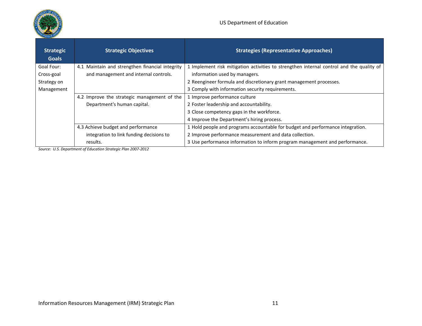

| <b>Strategic</b><br><b>Goals</b> | <b>Strategic Objectives</b>                     | <b>Strategies (Representative Approaches)</b>                                            |
|----------------------------------|-------------------------------------------------|------------------------------------------------------------------------------------------|
| Goal Four:                       | 4.1 Maintain and strengthen financial integrity | 1 Implement risk mitigation activities to strengthen internal control and the quality of |
| Cross-goal                       | and management and internal controls.           | information used by managers.                                                            |
| Strategy on                      |                                                 | 2 Reengineer formula and discretionary grant management processes.                       |
| Management                       |                                                 | 3 Comply with information security requirements.                                         |
|                                  | 4.2 Improve the strategic management of the     | 1 Improve performance culture                                                            |
|                                  | Department's human capital.                     | 2 Foster leadership and accountability.                                                  |
|                                  |                                                 | 3 Close competency gaps in the workforce.                                                |
|                                  |                                                 | 4 Improve the Department's hiring process.                                               |
|                                  | 4.3 Achieve budget and performance              | 1 Hold people and programs accountable for budget and performance integration.           |
|                                  | integration to link funding decisions to        | 2 Improve performance measurement and data collection.                                   |
|                                  | results.                                        | 3 Use performance information to inform program management and performance.              |

*Source: U.S. Department of Education Strategic Plan 2007-2012*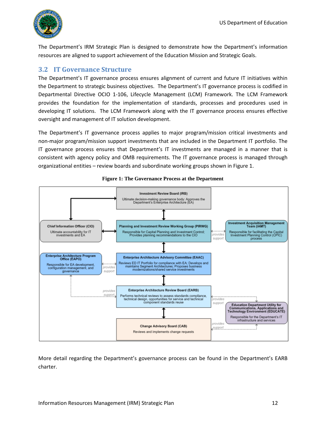

The Department's IRM Strategic Plan is designed to demonstrate how the Department's information resources are aligned to support achievement of the Education Mission and Strategic Goals.

### <span id="page-11-0"></span>**3.2 IT Governance Structure**

The Department's IT governance process ensures alignment of current and future IT initiatives within the Department to strategic business objectives. The Department's IT governance process is codified in Departmental Directive OCIO 1-106, Lifecycle Management (LCM) Framework. The LCM Framework provides the foundation for the implementation of standards, processes and procedures used in developing IT solutions. The LCM Framework along with the IT governance process ensures effective oversight and management of IT solution development.

The Department's IT governance process applies to major program/mission critical investments and non-major program/mission support investments that are included in the Department IT portfolio. The IT governance process ensures that Department's IT investments are managed in a manner that is consistent with agency policy and OMB requirements. The IT governance process is managed through organizational entities – review boards and subordinate working groups shown in Figure 1.

<span id="page-11-1"></span>

#### **Figure 1: The Governance Process at the Department**

More detail regarding the Department's governance process can be found in the Department's EARB charter.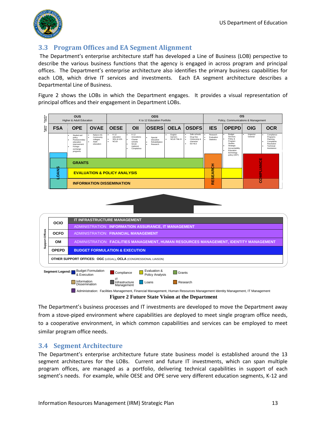

## <span id="page-12-0"></span>**3.3 Program Offices and EA Segment Alignment**

 The Department's enterprise architecture staff has developed a Line of Business (LOB) perspective to describe the various business functions that the agency is engaged in across program and principal offices. The Department's enterprise architecture also identifies the primary business capabilities for each LOB, which drive IT services and investments. Each EA segment architecture describes a Departmental Line of Business.

Figure 2 shows the LOBs in which the Department engages. It provides a visual representation of principal offices and their engagement in Department LOBs.







<span id="page-12-2"></span>**Figure 2 Future State Vision at the Department**

The Department's business processes and IT investments are developed to move the Department away from a stove-piped environment where capabilities are deployed to meet single program office needs, to a cooperative environment, in which common capabilities and services can be employed to meet similar program office needs.

## <span id="page-12-1"></span>**3.4 Segment Architecture**

The Department's enterprise architecture future state business model is established around the 13 segment architectures for the LOBs. Current and future IT investments, which can span multiple program offices, are managed as a portfolio, delivering technical capabilities in support of each segment's needs. For example, while OESE and OPE serve very different education segments, K-12 and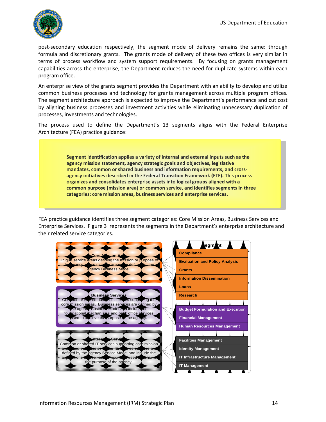

post-secondary education respectively, the segment mode of delivery remains the same: through formula and discretionary grants. The grants mode of delivery of these two offices is very similar in terms of process workflow and system support requirements. By focusing on grants management capabilities across the enterprise, the Department reduces the need for duplicate systems within each program office.

An enterprise view of the grants segment provides the Department with an ability to develop and utilize common business processes and technology for grants management across multiple program offices. The segment architecture approach is expected to improve the Department's performance and cut cost by aligning business processes and investment activities while eliminating unnecessary duplication of processes, investments and technologies.

The process used to define the Department's 13 segments aligns with the Federal Enterprise Architecture (FEA) practice guidance:

> Segment identification applies a variety of internal and external inputs such as the agency mission statement, agency strategic goals and objectives, legislative mandates, common or shared business and information requirements, and crossagency initiatives described in the Federal Transition Framework (FTF). This process organizes and consolidates enterprise assets into logical groups aligned with a common purpose (mission area) or common service, and identifies segments in three categories: core mission areas, business services and enterprise services.

FEA practice guidance identifies three segment categories: Core Mission Areas, Business Services and Enterprise Services. Figure [3](#page-14-1) represents the segments in the Department's enterprise architecture and their related service categories.

**Segment Enterprise Services** Common or shared IT services supporting core mission area and business services. Enterprise services are defined by the agency Service Model and include the applications and service components used to achieve the purpose of the age **kusin** Common or shared business services supporting the core mission areas. Business services are defined by the agency Business Model and include the foundational mechanisms and bank office services sed to aunieve the purpose of the age **Sore <b>Marshall** vervice areas defining the mission or purpose of the agency. The mission areas are defined by the  $\operatorname{mcy}$  B **Loans Grants IT Infrastructure Management Evaluation and Policy Analysis Identity Management Compliance Research Information Dissemination Facilities Management IT Management Budget Formulation and Execution Financial Management Human Resources Management**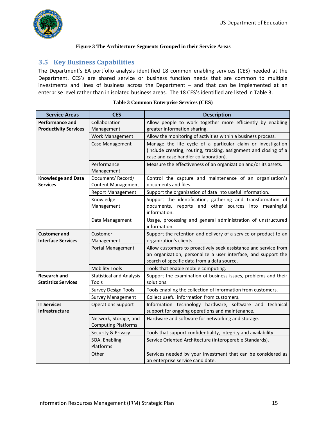

#### <span id="page-14-1"></span>**Figure 3 The Architecture Segments Grouped in their Service Areas**

## <span id="page-14-3"></span><span id="page-14-0"></span>**3.5 Key Business Capabilities**

The Department's EA portfolio analysis identified 18 common enabling services (CES) needed at the Department. CES's are shared service or business function needs that are common to multiple investments and lines of business across the Department – and that can be implemented at an enterprise level rather than in isolated business areas. The 18 CES's identified are listed in Table [3.](#page-14-2)

<span id="page-14-4"></span>

| <b>Service Areas</b>                              | <b>CES</b>                                          | <b>Description</b>                                                                                                                                                               |  |
|---------------------------------------------------|-----------------------------------------------------|----------------------------------------------------------------------------------------------------------------------------------------------------------------------------------|--|
| <b>Performance and</b>                            | Collaboration                                       | Allow people to work together more efficiently by enabling                                                                                                                       |  |
| <b>Productivity Services</b>                      | Management                                          | greater information sharing.                                                                                                                                                     |  |
|                                                   | Work Management                                     | Allow the monitoring of activities within a business process.                                                                                                                    |  |
|                                                   | Case Management                                     | Manage the life cycle of a particular claim or investigation<br>(include creating, routing, tracking, assignment and closing of a<br>case and case handler collaboration).       |  |
|                                                   | Performance<br>Management                           | Measure the effectiveness of an organization and/or its assets.                                                                                                                  |  |
| <b>Knowledge and Data</b><br><b>Services</b>      | Document/Record/<br><b>Content Management</b>       | Control the capture and maintenance of an organization's<br>documents and files.                                                                                                 |  |
|                                                   | <b>Report Management</b>                            | Support the organization of data into useful information.                                                                                                                        |  |
|                                                   | Knowledge<br>Management                             | Support the identification, gathering and transformation of<br>documents,<br>reports and other sources into<br>meaningful<br>information.                                        |  |
|                                                   | Data Management                                     | Usage, processing and general administration of unstructured<br>information.                                                                                                     |  |
| <b>Customer and</b><br>Customer                   |                                                     | Support the retention and delivery of a service or product to an                                                                                                                 |  |
| <b>Interface Services</b>                         | Management                                          | organization's clients.                                                                                                                                                          |  |
|                                                   | <b>Portal Management</b>                            | Allow customers to proactively seek assistance and service from<br>an organization, personalize a user interface, and support the<br>search of specific data from a data source. |  |
|                                                   | <b>Mobility Tools</b>                               | Tools that enable mobile computing.                                                                                                                                              |  |
| <b>Research and</b><br><b>Statistics Services</b> | <b>Statistical and Analysis</b><br>Tools            | Support the examination of business issues, problems and their<br>solutions.                                                                                                     |  |
|                                                   | <b>Survey Design Tools</b>                          | Tools enabling the collection of information from customers.                                                                                                                     |  |
|                                                   | <b>Survey Management</b>                            | Collect useful information from customers.                                                                                                                                       |  |
| <b>IT Services</b><br><b>Infrastructure</b>       | <b>Operations Support</b>                           | Information technology hardware, software and technical<br>support for ongoing operations and maintenance.                                                                       |  |
|                                                   | Network, Storage, and<br><b>Computing Platforms</b> | Hardware and software for networking and storage.                                                                                                                                |  |
|                                                   | Security & Privacy                                  | Tools that support confidentiality, integrity and availability.                                                                                                                  |  |
|                                                   | SOA, Enabling<br>Platforms                          | Service Oriented Architecture (Interoperable Standards).                                                                                                                         |  |
|                                                   | Other                                               | Services needed by your investment that can be considered as<br>an enterprise service candidate.                                                                                 |  |

#### <span id="page-14-2"></span>**Table 3 Common Enterprise Services (CES)**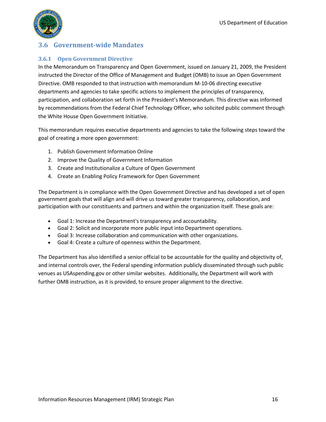

## <span id="page-15-0"></span>**3.6 Government-wide Mandates**

#### <span id="page-15-1"></span>**3.6.1 Open Government Directive**

In the Memorandum on Transparency and Open Government, issued on January 21, 2009, the President instructed the Director of the Office of Management and Budget (OMB) to issue an Open Government Directive. OMB responded to that instruction with memorandum M-10-06 directing executive departments and agencies to take specific actions to implement the principles of transparency, participation, and collaboration set forth in the President's Memorandum. This directive was informed by recommendations from the Federal Chief Technology Officer, who solicited public comment through the White House Open Government Initiative.

This memorandum requires executive departments and agencies to take the following steps toward the goal of creating a more open government:

- 1. Publish Government Information Online
- 2. Improve the Quality of Government Information
- 3. Create and Institutionalize a Culture of Open Government
- 4. Create an Enabling Policy Framework for Open Government

The Department is in compliance with the Open Government Directive and has developed a set of open government goals that will align and will drive us toward greater transparency, collaboration, and participation with our constituents and partners and within the organization itself. These goals are:

- Goal 1: Increase the Department's transparency and accountability.
- Goal 2: Solicit and incorporate more public input into Department operations.
- Goal 3: Increase collaboration and communication with other organizations.
- Goal 4: Create a culture of openness within the Department.

The Department has also identified a senior official to be accountable for the quality and objectivity of, and internal controls over, the Federal spending information publicly disseminated through such public venues as USAspending.gov or other similar websites. Additionally, the Department will work with further OMB instruction, as it is provided, to ensure proper alignment to the directive.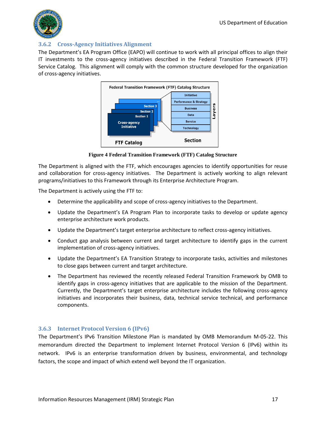

#### <span id="page-16-0"></span>**3.6.2 Cross-Agency Initiatives Alignment**

The Department's EA Program Office (EAPO) will continue to work with all principal offices to align their IT investments to the cross-agency initiatives described in the Federal Transition Framework (FTF) Service Catalog. This alignment will comply with the common structure developed for the organization of cross-agency initiatives.



**Figure 4 Federal Transition Framework (FTF) Catalog Structure** 

<span id="page-16-2"></span>The Department is aligned with the [FTF,](http://www.whitehouse.gov/omb/egov/a-2-EAFTF.html) which encourages agencies to identify opportunities for reuse and collaboration for cross-agency initiatives. The Department is actively working to align relevant programs/initiatives to this Framework through its Enterprise Architecture Program.

The Department is actively using the FTF to:

- Determine the applicability and scope of cross-agency initiatives to the Department.
- Update the Department's EA Program Plan to incorporate tasks to develop or update agency enterprise architecture work products.
- Update the Department's target enterprise architecture to reflect cross-agency initiatives.
- Conduct gap analysis between current and target architecture to identify gaps in the current implementation of cross-agency initiatives.
- Update the Department's EA Transition Strategy to incorporate tasks, activities and milestones to close gaps between current and target architecture.
- The Department has reviewed the recently released Federal Transition Framework by OMB to identify gaps in cross-agency initiatives that are applicable to the mission of the Department. Currently, the Department's target enterprise architecture includes the following cross-agency initiatives and incorporates their business, data, technical service technical, and performance components.

#### <span id="page-16-1"></span>**3.6.3 Internet Protocol Version 6 (IPv6)**

The Department's IPv6 Transition Milestone Plan is mandated by OMB Memorandum M-05-22. This memorandum directed the Department to implement Internet Protocol Version 6 (IPv6) within its network. IPv6 is an enterprise transformation driven by business, environmental, and technology factors, the scope and impact of which extend well beyond the IT organization.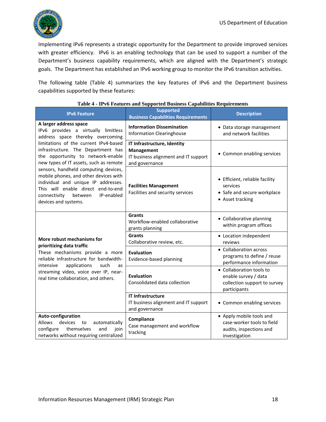

Implementing IPv6 represents a strategic opportunity for the Department to provide improved services with greater efficiency. IPv6 is an enabling technology that can be used to support a number of the Department's business capability requirements, which are aligned with the Department's strategic goals. The Department has established an IPv6 working group to monitor the IPv6 transition activities.

The following table (Table 4) summarizes the key features of IPv6 and the Department business capabilities supported by these features:

<span id="page-17-0"></span>

| <b>IPv6 Feature</b>                                                                                                                                                                                                         | <b>Supported</b><br><b>Business Capabilities Requirements</b>                                       | <b>Description</b>                                                                                 |
|-----------------------------------------------------------------------------------------------------------------------------------------------------------------------------------------------------------------------------|-----------------------------------------------------------------------------------------------------|----------------------------------------------------------------------------------------------------|
| A larger address space<br>IPv6 provides a virtually limitless<br>address space thereby overcoming                                                                                                                           | <b>Information Dissemination</b><br><b>Information Clearinghouse</b>                                | • Data storage management<br>and network facilities                                                |
| limitations of the current IPv4-based<br>infrastructure. The Department has<br>the opportunity to network-enable<br>new types of IT assets, such as remote                                                                  | IT Infrastructure, Identity<br>Management<br>IT business alignment and IT support<br>and governance | • Common enabling services                                                                         |
| sensors, handheld computing devices,<br>mobile phones, and other devices with<br>individual and unique IP addresses.<br>This will enable direct end-to-end<br>IP-enabled<br>connectivity<br>between<br>devices and systems. | <b>Facilities Management</b><br>Facilities and security services                                    | • Efficient, reliable facility<br>services<br>• Safe and secure workplace<br>• Asset tracking      |
|                                                                                                                                                                                                                             | <b>Grants</b><br>Workflow-enabled collaborative<br>grants planning                                  | • Collaborative planning<br>within program offices                                                 |
| More robust mechanisms for                                                                                                                                                                                                  | <b>Grants</b><br>Collaborative review, etc.                                                         | • Location independent<br>reviews                                                                  |
| prioritizing data traffic<br>These mechanisms provide a more<br>reliable infrastructure for bandwidth-<br>applications<br>intensive<br>such<br><b>as</b>                                                                    | <b>Evaluation</b><br>Evidence-based planning                                                        | • Collaboration across<br>programs to define / reuse<br>performance information                    |
| streaming video, voice over IP, near-<br>real time collaboration, and others.                                                                                                                                               | <b>Evaluation</b><br>Consolidated data collection                                                   | • Collaboration tools to<br>enable survey / data<br>collection support to survey<br>participants   |
|                                                                                                                                                                                                                             | <b>IT Infrastructure</b><br>IT business alignment and IT support                                    | • Common enabling services                                                                         |
| Auto-configuration<br><b>Allows</b><br>devices<br>automatically<br>to<br>themselves<br>configure<br>and<br>join<br>networks without requiring centralized                                                                   | and governance<br>Compliance<br>Case management and workflow<br>tracking                            | • Apply mobile tools and<br>case-worker tools to field<br>audits, inspections and<br>investigation |

#### **Table 4 - IPv6 Features and Supported Business Capabilities Requirements**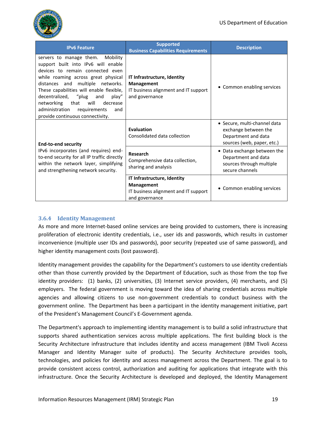

| <b>IPv6 Feature</b>                                                                                                                                                                                                                                                                                                                                                                         | <b>Supported</b><br><b>Business Capabilities Requirements</b>                                              | <b>Description</b>                                                                                        |
|---------------------------------------------------------------------------------------------------------------------------------------------------------------------------------------------------------------------------------------------------------------------------------------------------------------------------------------------------------------------------------------------|------------------------------------------------------------------------------------------------------------|-----------------------------------------------------------------------------------------------------------|
| Mobility<br>servers to manage them.<br>support built into IPv6 will enable<br>devices to remain connected even<br>while roaming across great physical<br>distances and multiple networks.<br>These capabilities will enable flexible,<br>decentralized, "plug and<br>play"<br>networking that will<br>decrease<br>administration<br>requirements<br>and<br>provide continuous connectivity. | IT Infrastructure, Identity<br><b>Management</b><br>IT business alignment and IT support<br>and governance | • Common enabling services                                                                                |
| <b>End-to-end security</b>                                                                                                                                                                                                                                                                                                                                                                  | <b>Evaluation</b><br>Consolidated data collection                                                          | • Secure, multi-channel data<br>exchange between the<br>Department and data<br>sources (web, paper, etc.) |
| IPv6 incorporates (and requires) end-<br>to-end security for all IP traffic directly<br>within the network layer, simplifying<br>and strengthening network security.                                                                                                                                                                                                                        | Research<br>Comprehensive data collection,<br>sharing and analysis                                         | • Data exchange between the<br>Department and data<br>sources through multiple<br>secure channels         |
|                                                                                                                                                                                                                                                                                                                                                                                             | IT Infrastructure, Identity<br>Management<br>IT business alignment and IT support<br>and governance        | • Common enabling services                                                                                |

### <span id="page-18-0"></span>**3.6.4 Identity Management**

As more and more Internet-based online services are being provided to customers, there is increasing proliferation of electronic identity credentials, i.e., user ids and passwords, which results in customer inconvenience (multiple user IDs and passwords), poor security (repeated use of same password), and higher identity management costs (lost password).

Identity management provides the capability for the Department's customers to use identity credentials other than those currently provided by the Department of Education, such as those from the top five identity providers: (1) banks, (2) universities, (3) Internet service providers, (4) merchants, and (5) employers. The federal government is moving toward the idea of sharing credentials across multiple agencies and allowing citizens to use non-government credentials to conduct business with the government online. The Department has been a participant in the identity management initiative, part of the President's Management Council's E-Government agenda.

The Department's approach to implementing identity management is to build a solid infrastructure that supports shared authentication services across multiple applications. The first building block is the Security Architecture infrastructure that includes identity and access management (IBM Tivoli Access Manager and Identity Manager suite of products). The Security Architecture provides tools, technologies, and policies for identity and access management across the Department. The goal is to provide consistent access control, authorization and auditing for applications that integrate with this infrastructure. Once the Security Architecture is developed and deployed, the Identity Management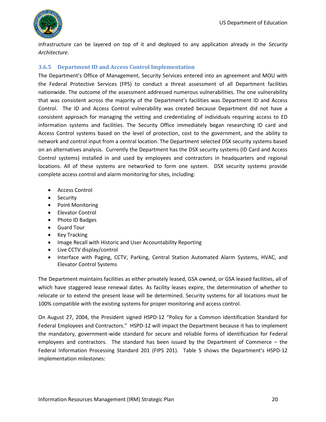

infrastructure can be layered on top of it and deployed to any application already in the *Security Architecture*.

### <span id="page-19-0"></span>**3.6.5 Department ID and Access Control Implementation**

The Department's Office of Management, Security Services entered into an agreement and MOU with the Federal Protective Services (FPS) to conduct a threat assessment of all Department facilities nationwide. The outcome of the assessment addressed numerous vulnerabilities. The one vulnerability that was consistent across the majority of the Department's facilities was Department ID and Access Control. The ID and Access Control vulnerability was created because Department did not have a consistent approach for managing the vetting and credentialing of individuals requiring access to ED information systems and facilities. The Security Office immediately began researching ID card and Access Control systems based on the level of protection, cost to the government, and the ability to network and control input from a central location. The Department selected DSX security systems based on an alternatives analysis. Currently the Department has the DSX security systems (ID Card and Access Control systems) installed in and used by employees and contractors in headquarters and regional locations. All of these systems are networked to form one system. DSX security systems provide complete access control and alarm monitoring for sites, including:

- Access Control
- Security
- Point Monitoring
- Elevator Control
- Photo ID Badges
- Guard Tour
- Key Tracking
- Image Recall with Historic and User Accountability Reporting
- Live CCTV display/control
- Interface with Paging, CCTV, Parking, Central Station Automated Alarm Systems, HVAC, and Elevator Control Systems

The Department maintains facilities as either privately leased, GSA owned, or GSA leased facilities, all of which have staggered lease renewal dates. As facility leases expire, the determination of whether to relocate or to extend the present lease will be determined. Security systems for all locations must be 100% compatible with the existing systems for proper monitoring and access control.

On August 27, 2004, the President signed HSPD-12 "Policy for a Common Identification Standard for Federal Employees and Contractors." HSPD-12 will impact the Department because it has to implement the mandatory, government-wide standard for secure and reliable forms of identification for Federal employees and contractors. The standard has been issued by the Department of Commerce – the Federal Information Processing Standard 201 (FIPS 201). Table 5 shows the Department's HSPD-12 implementation milestones: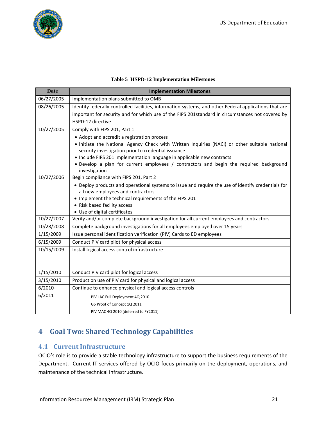

#### **Table 5 HSPD-12 Implementation Milestones**

<span id="page-20-2"></span><span id="page-20-0"></span>

| <b>Date</b> | <b>Implementation Milestones</b>                                                                                                                     |
|-------------|------------------------------------------------------------------------------------------------------------------------------------------------------|
| 06/27/2005  | Implementation plans submitted to OMB                                                                                                                |
| 08/26/2005  | Identify federally controlled facilities, information systems, and other Federal applications that are                                               |
|             | important for security and for which use of the FIPS 201standard in circumstances not covered by                                                     |
|             | HSPD-12 directive                                                                                                                                    |
| 10/27/2005  | Comply with FIPS 201, Part 1                                                                                                                         |
|             | • Adopt and accredit a registration process                                                                                                          |
|             | . Initiate the National Agency Check with Written Inquiries (NACI) or other suitable national<br>security investigation prior to credential issuance |
|             | • Include FIPS 201 implementation language in applicable new contracts                                                                               |
|             | . Develop a plan for current employees / contractors and begin the required background<br>investigation                                              |
| 10/27/2006  | Begin compliance with FIPS 201, Part 2                                                                                                               |
|             | • Deploy products and operational systems to issue and require the use of identify credentials for                                                   |
|             | all new employees and contractors                                                                                                                    |
|             | • Implement the technical requirements of the FIPS 201                                                                                               |
|             | • Risk based facility access                                                                                                                         |
|             | • Use of digital certificates                                                                                                                        |
| 10/27/2007  | Verify and/or complete background investigation for all current employees and contractors                                                            |
| 10/28/2008  | Complete background investigations for all employees employed over 15 years                                                                          |
| 1/15/2009   | Issue personal identification verification (PIV) Cards to ED employees                                                                               |
| 6/15/2009   | Conduct PIV card pilot for physical access                                                                                                           |
| 10/15/2009  | Install logical access control infrastructure                                                                                                        |
|             |                                                                                                                                                      |
| 1/15/2010   | Conduct PIV card pilot for logical access                                                                                                            |
| 3/15/2010   | Production use of PIV card for physical and logical access                                                                                           |
| $6/2010 -$  | Continue to enhance physical and logical access controls                                                                                             |
| 6/2011      | PIV LAC Full Deployment 4Q 2010                                                                                                                      |
|             | G5 Proof of Concept 1Q 2011                                                                                                                          |
|             | PIV MAC 4Q 2010 (deferred to FY2011)                                                                                                                 |

## **4 Goal Two: Shared Technology Capabilities**

## <span id="page-20-1"></span>**4.1 Current Infrastructure**

OCIO's role is to provide a stable technology infrastructure to support the business requirements of the Department. Current IT services offered by OCIO focus primarily on the deployment, operations, and maintenance of the technical infrastructure.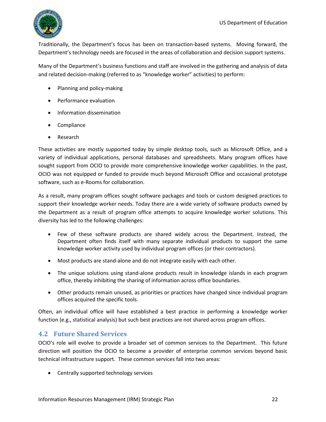

Traditionally, the Department's focus has been on transaction-based systems. Moving forward, the Department's technology needs are focused in the areas of collaboration and decision support systems.

Many of the Department's business functions and staff are involved in the gathering and analysis of data and related decision-making (referred to as "knowledge worker" activities) to perform:

- Planning and policy-making
- Performance evaluation
- Information dissemination
- Compliance
- Research

These activities are mostly supported today by simple desktop tools, such as Microsoft Office, and a variety of individual applications, personal databases and spreadsheets. Many program offices have sought support from OCIO to provide more comprehensive knowledge worker capabilities. In the past, OCIO was not equipped or funded to provide much beyond Microsoft Office and occasional prototype software, such as e-Rooms for collaboration.

As a result, many program offices sought software packages and tools or custom designed practices to support their knowledge worker needs. Today there are a wide variety of software products owned by the Department as a result of program office attempts to acquire knowledge worker solutions. This diversity has led to the following challenges:

- Few of these software products are shared widely across the Department. Instead, the Department often finds itself with many separate individual products to support the same knowledge worker activity used by individual program offices (or their contractors).
- Most products are stand-alone and do not integrate easily with each other.
- The unique solutions using stand-alone products result in knowledge islands in each program office, thereby inhibiting the sharing of information across office boundaries.
- Other products remain unused, as priorities or practices have changed since individual program offices acquired the specific tools.

Often, an individual office will have established a best practice in performing a knowledge worker function (e.g., statistical analysis) but such best practices are not shared across program offices.

### <span id="page-21-0"></span>**4.2 Future Shared Services**

OCIO's role will evolve to provide a broader set of common services to the Department. This future direction will position the OCIO to become a provider of enterprise common services beyond basic technical infrastructure support. These common services fall into two areas:

Centrally supported technology services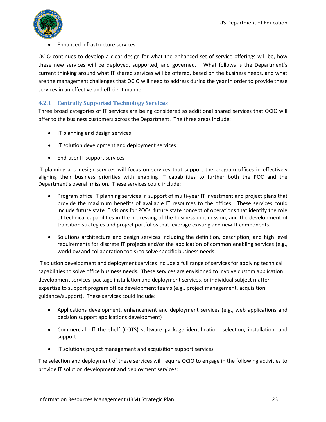

#### Enhanced infrastructure services

OCIO continues to develop a clear design for what the enhanced set of service offerings will be, how these new services will be deployed, supported, and governed. What follows is the Department's current thinking around what IT shared services will be offered, based on the business needs, and what are the management challenges that OCIO will need to address during the year in order to provide these services in an effective and efficient manner.

#### <span id="page-22-0"></span>**4.2.1 Centrally Supported Technology Services**

Three broad categories of IT services are being considered as additional shared services that OCIO will offer to the business customers across the Department. The three areas include:

- IT planning and design services
- IT solution development and deployment services
- End-user IT support services

IT planning and design services will focus on services that support the program offices in effectively aligning their business priorities with enabling IT capabilities to further both the POC and the Department's overall mission. These services could include:

- Program office IT planning services in support of multi-year IT investment and project plans that provide the maximum benefits of available IT resources to the offices. These services could include future state IT visions for POCs, future state concept of operations that identify the role of technical capabilities in the processing of the business unit mission, and the development of transition strategies and project portfolios that leverage existing and new IT components.
- Solutions architecture and design services including the definition, description, and high level requirements for discrete IT projects and/or the application of common enabling services (e.g., workflow and collaboration tools) to solve specific business needs

IT solution development and deployment services include a full range of services for applying technical capabilities to solve office business needs. These services are envisioned to involve custom application development services, package installation and deployment services, or individual subject matter expertise to support program office development teams (e.g., project management, acquisition guidance/support). These services could include:

- Applications development, enhancement and deployment services (e.g., web applications and decision support applications development)
- Commercial off the shelf (COTS) software package identification, selection, installation, and support
- IT solutions project management and acquisition support services

The selection and deployment of these services will require OCIO to engage in the following activities to provide IT solution development and deployment services: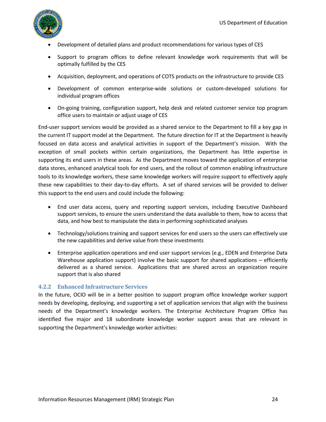

- Development of detailed plans and product recommendations for various types of CES
- Support to program offices to define relevant knowledge work requirements that will be optimally fulfilled by the CES
- Acquisition, deployment, and operations of COTS products on the infrastructure to provide CES
- Development of common enterprise-wide solutions or custom-developed solutions for individual program offices
- On-going training, configuration support, help desk and related customer service top program office users to maintain or adjust usage of CES

End-user support services would be provided as a shared service to the Department to fill a key gap in the current IT support model at the Department. The future direction for IT at the Department is heavily focused on data access and analytical activities in support of the Department's mission. With the exception of small pockets within certain organizations, the Department has little expertise in supporting its end users in these areas. As the Department moves toward the application of enterprise data stores, enhanced analytical tools for end users, and the rollout of common enabling infrastructure tools to its knowledge workers, these same knowledge workers will require support to effectively apply these new capabilities to their day-to-day efforts. A set of shared services will be provided to deliver this support to the end users and could include the following:

- End user data access, query and reporting support services, including Executive Dashboard support services, to ensure the users understand the data available to them, how to access that data, and how best to manipulate the data in performing sophisticated analyses
- Technology/solutions training and support services for end users so the users can effectively use the new capabilities and derive value from these investments
- Enterprise application operations and end user support services (e.g., EDEN and Enterprise Data Warehouse application support) involve the basic support for shared applications – efficiently delivered as a shared service. Applications that are shared across an organization require support that is also shared

#### <span id="page-23-0"></span>**4.2.2 Enhanced Infrastructure Services**

In the future, OCIO will be in a better position to support program office knowledge worker support needs by developing, deploying, and supporting a set of application services that align with the business needs of the Department's knowledge workers. The Enterprise Architecture Program Office has identified five major and 18 subordinate knowledge worker support areas that are relevant in supporting the Department's knowledge worker activities: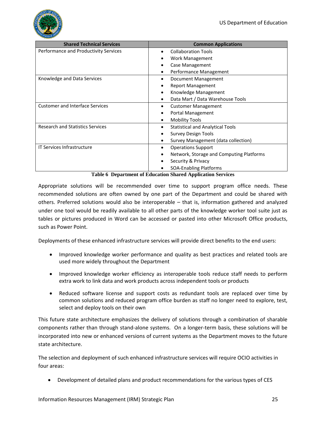

| <b>Shared Technical Services</b>        | <b>Common Applications</b>                   |
|-----------------------------------------|----------------------------------------------|
| Performance and Productivity Services   | <b>Collaboration Tools</b>                   |
|                                         | Work Management                              |
|                                         | Case Management                              |
|                                         | Performance Management                       |
| Knowledge and Data Services             | Document Management                          |
|                                         | <b>Report Management</b>                     |
|                                         | Knowledge Management                         |
|                                         | Data Mart / Data Warehouse Tools             |
| <b>Customer and Interface Services</b>  | <b>Customer Management</b>                   |
|                                         | Portal Management                            |
|                                         | <b>Mobility Tools</b>                        |
| <b>Research and Statistics Services</b> | <b>Statistical and Analytical Tools</b><br>٠ |
|                                         | <b>Survey Design Tools</b>                   |
|                                         | Survey Management (data collection)          |
| <b>IT Services Infrastructure</b>       | <b>Operations Support</b><br>٠               |
|                                         | Network, Storage and Computing Platforms     |
|                                         | Security & Privacy                           |
|                                         | <b>SOA-Enabling Platforms</b>                |

**Table 6 Department of Education Shared Application Services** 

<span id="page-24-0"></span>Appropriate solutions will be recommended over time to support program office needs. These recommended solutions are often owned by one part of the Department and could be shared with others. Preferred solutions would also be interoperable – that is, information gathered and analyzed under one tool would be readily available to all other parts of the knowledge worker tool suite just as tables or pictures produced in Word can be accessed or pasted into other Microsoft Office products, such as Power Point.

Deployments of these enhanced infrastructure services will provide direct benefits to the end users:

- Improved knowledge worker performance and quality as best practices and related tools are used more widely throughout the Department
- Improved knowledge worker efficiency as interoperable tools reduce staff needs to perform extra work to link data and work products across independent tools or products
- Reduced software license and support costs as redundant tools are replaced over time by common solutions and reduced program office burden as staff no longer need to explore, test, select and deploy tools on their own

This future state architecture emphasizes the delivery of solutions through a combination of sharable components rather than through stand-alone systems. On a longer-term basis, these solutions will be incorporated into new or enhanced versions of current systems as the Department moves to the future state architecture.

The selection and deployment of such enhanced infrastructure services will require OCIO activities in four areas:

Development of detailed plans and product recommendations for the various types of CES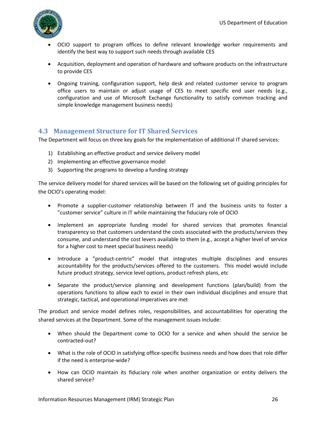

- OCIO support to program offices to define relevant knowledge worker requirements and identify the best way to support such needs through available CES
- Acquisition, deployment and operation of hardware and software products on the infrastructure to provide CES
- Ongoing training, configuration support, help desk and related customer service to program office users to maintain or adjust usage of CES to meet specific end user needs (e.g., configuration and use of Microsoft Exchange functionality to satisfy common tracking and simple knowledge management business needs)

## <span id="page-25-0"></span>**4.3 Management Structure for IT Shared Services**

The Department will focus on three key goals for the implementation of additional IT shared services:

- 1) Establishing an effective product and service delivery model
- 2) Implementing an effective governance model
- 3) Supporting the programs to develop a funding strategy

The service delivery model for shared services will be based on the following set of guiding principles for the OCIO's operating model:

- Promote a supplier-customer relationship between IT and the business units to foster a "customer service" culture in IT while maintaining the fiduciary role of OCIO
- Implement an appropriate funding model for shared services that promotes financial transparency so that customers understand the costs associated with the products/services they consume, and understand the cost levers available to them (e.g., accept a higher level of service for a higher cost to meet special business needs)
- Introduce a "product-centric" model that integrates multiple disciplines and ensures accountability for the products/services offered to the customers. This model would include future product strategy, service level options, product refresh plans, etc
- Separate the product/service planning and development functions (plan/build) from the operations functions to allow each to excel in their own individual disciplines and ensure that strategic, tactical, and operational imperatives are met

The product and service model defines roles, responsibilities, and accountabilities for operating the shared services at the Department. Some of the management issues include:

- When should the Department come to OCIO for a service and when should the service be contracted-out?
- What is the role of OCIO in satisfying office-specific business needs and how does that role differ if the need is enterprise-wide?
- How can OCIO maintain its fiduciary role when another organization or entity delivers the shared service?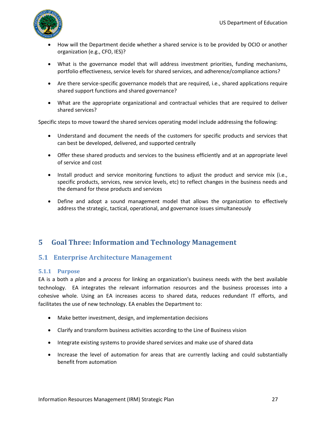

- How will the Department decide whether a shared service is to be provided by OCIO or another organization (e.g., CFO, IES)?
- What is the governance model that will address investment priorities, funding mechanisms, portfolio effectiveness, service levels for shared services, and adherence/compliance actions?
- Are there service-specific governance models that are required, i.e., shared applications require shared support functions and shared governance?
- What are the appropriate organizational and contractual vehicles that are required to deliver shared services?

Specific steps to move toward the shared services operating model include addressing the following:

- Understand and document the needs of the customers for specific products and services that can best be developed, delivered, and supported centrally
- Offer these shared products and services to the business efficiently and at an appropriate level of service and cost
- Install product and service monitoring functions to adjust the product and service mix (i.e., specific products, services, new service levels, etc) to reflect changes in the business needs and the demand for these products and services
- Define and adopt a sound management model that allows the organization to effectively address the strategic, tactical, operational, and governance issues simultaneously

## <span id="page-26-0"></span>**5 Goal Three: Information and Technology Management**

## <span id="page-26-1"></span>**5.1 Enterprise Architecture Management**

#### <span id="page-26-2"></span>**5.1.1 Purpose**

EA is a both a *plan* and a *process* for linking an organization's business needs with the best available technology. EA integrates the relevant information resources and the business processes into a cohesive whole. Using an EA increases access to shared data, reduces redundant IT efforts, and facilitates the use of new technology. EA enables the Department to:

- Make better investment, design, and implementation decisions
- Clarify and transform business activities according to the Line of Business vision
- Integrate existing systems to provide shared services and make use of shared data
- Increase the level of automation for areas that are currently lacking and could substantially benefit from automation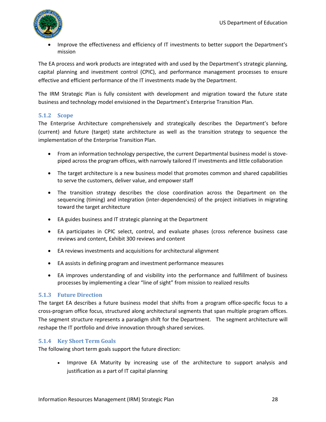

 Improve the effectiveness and efficiency of IT investments to better support the Department's mission

The EA process and work products are integrated with and used by the Department's strategic planning, capital planning and investment control (CPIC), and performance management processes to ensure effective and efficient performance of the IT investments made by the Department.

The IRM Strategic Plan is fully consistent with development and migration toward the future state business and technology model envisioned in the Department's Enterprise Transition Plan.

#### <span id="page-27-0"></span>**5.1.2 Scope**

The Enterprise Architecture comprehensively and strategically describes the Department's before (current) and future (target) state architecture as well as the transition strategy to sequence the implementation of the Enterprise Transition Plan.

- From an information technology perspective, the current Departmental business model is stovepiped across the program offices, with narrowly tailored IT investments and little collaboration
- The target architecture is a new business model that promotes common and shared capabilities to serve the customers, deliver value, and empower staff
- The transition strategy describes the close coordination across the Department on the sequencing (timing) and integration (inter-dependencies) of the project initiatives in migrating toward the target architecture
- EA guides business and IT strategic planning at the Department
- EA participates in CPIC select, control, and evaluate phases (cross reference business case reviews and content, Exhibit 300 reviews and content
- EA reviews investments and acquisitions for architectural alignment
- EA assists in defining program and investment performance measures
- EA improves understanding of and visibility into the performance and fulfillment of business processes by implementing a clear "line of sight" from mission to realized results

#### <span id="page-27-1"></span>**5.1.3 Future Direction**

The target EA describes a future business model that shifts from a program office-specific focus to a cross-program office focus, structured along architectural segments that span multiple program offices. The segment structure represents a paradigm shift for the Department. The segment architecture will reshape the IT portfolio and drive innovation through shared services.

#### <span id="page-27-2"></span>**5.1.4 Key Short Term Goals**

The following short term goals support the future direction:

• Improve EA Maturity by increasing use of the architecture to support analysis and justification as a part of IT capital planning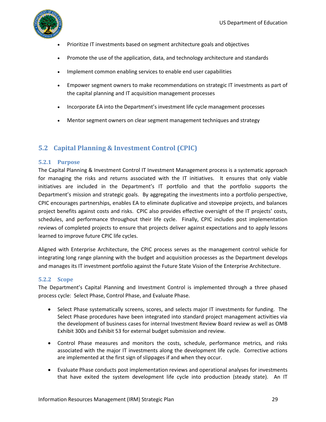

- Prioritize IT investments based on segment architecture goals and objectives
- Promote the use of the application, data, and technology architecture and standards
- Implement common enabling services to enable end user capabilities
- Empower segment owners to make recommendations on strategic IT investments as part of the capital planning and IT acquisition management processes
- Incorporate EA into the Department's investment life cycle management processes
- Mentor segment owners on clear segment management techniques and strategy

## <span id="page-28-0"></span>**5.2 Capital Planning & Investment Control (CPIC)**

#### <span id="page-28-1"></span>**5.2.1 Purpose**

The Capital Planning & Investment Control IT Investment Management process is a systematic approach for managing the risks and returns associated with the IT initiatives. It ensures that only viable initiatives are included in the Department's IT portfolio and that the portfolio supports the Department's mission and strategic goals. By aggregating the investments into a portfolio perspective, CPIC encourages partnerships, enables EA to eliminate duplicative and stovepipe projects, and balances project benefits against costs and risks. CPIC also provides effective oversight of the IT projects' costs, schedules, and performance throughout their life cycle. Finally, CPIC includes post implementation reviews of completed projects to ensure that projects deliver against expectations and to apply lessons learned to improve future CPIC life cycles.

Aligned with Enterprise Architecture, the CPIC process serves as the management control vehicle for integrating long range planning with the budget and acquisition processes as the Department develops and manages its IT investment portfolio against the Future State Vision of the Enterprise Architecture.

#### <span id="page-28-2"></span>**5.2.2 Scope**

The Department's Capital Planning and Investment Control is implemented through a three phased process cycle: Select Phase, Control Phase, and Evaluate Phase.

- Select Phase systematically screens, scores, and selects major IT investments for funding. The Select Phase procedures have been integrated into standard project management activities via the development of business cases for internal Investment Review Board review as well as OMB Exhibit 300s and Exhibit 53 for external budget submission and review.
- Control Phase measures and monitors the costs, schedule, performance metrics, and risks associated with the major IT investments along the development life cycle. Corrective actions are implemented at the first sign of slippages if and when they occur.
- Evaluate Phase conducts post implementation reviews and operational analyses for investments that have exited the system development life cycle into production (steady state). An IT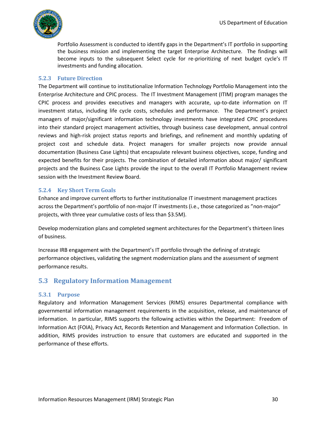

Portfolio Assessment is conducted to identify gaps in the Department's IT portfolio in supporting the business mission and implementing the target Enterprise Architecture. The findings will become inputs to the subsequent Select cycle for re-prioritizing of next budget cycle's IT investments and funding allocation.

#### <span id="page-29-0"></span>**5.2.3 Future Direction**

The Department will continue to institutionalize Information Technology Portfolio Management into the Enterprise Architecture and CPIC process. The IT Investment Management (ITIM) program manages the CPIC process and provides executives and managers with accurate, up-to-date information on IT investment status, including life cycle costs, schedules and performance. The Department's project managers of major/significant information technology investments have integrated CPIC procedures into their standard project management activities, through business case development, annual control reviews and high-risk project status reports and briefings, and refinement and monthly updating of project cost and schedule data. Project managers for smaller projects now provide annual documentation (Business Case Lights) that encapsulate relevant business objectives, scope, funding and expected benefits for their projects. The combination of detailed information about major/ significant projects and the Business Case Lights provide the input to the overall IT Portfolio Management review session with the Investment Review Board.

#### <span id="page-29-1"></span>**5.2.4 Key Short Term Goals**

Enhance and improve current efforts to further institutionalize IT investment management practices across the Department's portfolio of non-major IT investments (i.e., those categorized as "non-major" projects, with three year cumulative costs of less than \$3.5M).

Develop modernization plans and completed segment architectures for the Department's thirteen lines of business.

Increase IRB engagement with the Department's IT portfolio through the defining of strategic performance objectives, validating the segment modernization plans and the assessment of segment performance results.

## <span id="page-29-2"></span>**5.3 Regulatory Information Management**

#### <span id="page-29-3"></span>**5.3.1 Purpose**

Regulatory and Information Management Services (RIMS) ensures Departmental compliance with governmental information management requirements in the acquisition, release, and maintenance of information. In particular, RIMS supports the following activities within the Department: Freedom of Information Act (FOIA), Privacy Act, Records Retention and Management and Information Collection. In addition, RIMS provides instruction to ensure that customers are educated and supported in the performance of these efforts.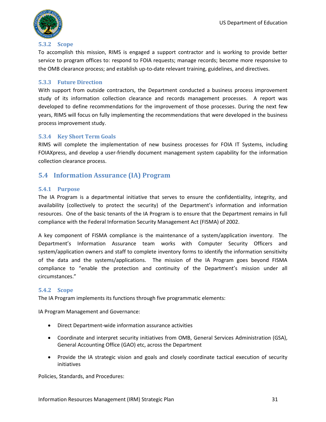

#### <span id="page-30-0"></span>**5.3.2 Scope**

To accomplish this mission, RIMS is engaged a support contractor and is working to provide better service to program offices to: respond to FOIA requests; manage records; become more responsive to the OMB clearance process; and establish up-to-date relevant training, guidelines, and directives.

#### <span id="page-30-1"></span>**5.3.3 Future Direction**

With support from outside contractors, the Department conducted a business process improvement study of its information collection clearance and records management processes. A report was developed to define recommendations for the improvement of those processes. During the next few years, RIMS will focus on fully implementing the recommendations that were developed in the business process improvement study.

#### <span id="page-30-2"></span>**5.3.4 Key Short Term Goals**

RIMS will complete the implementation of new business processes for FOIA IT Systems, including FOIAXpress, and develop a user-friendly document management system capability for the information collection clearance process.

### <span id="page-30-3"></span>**5.4 Information Assurance (IA) Program**

#### <span id="page-30-4"></span>**5.4.1 Purpose**

The IA Program is a departmental initiative that serves to ensure the confidentiality, integrity, and availability (collectively to protect the security) of the Department's information and information resources. One of the basic tenants of the IA Program is to ensure that the Department remains in full compliance with the Federal Information Security Management Act (FISMA) of 2002.

A key component of FISMA compliance is the maintenance of a system/application inventory. The Department's Information Assurance team works with Computer Security Officers and system/application owners and staff to complete inventory forms to identify the information sensitivity of the data and the systems/applications. The mission of the IA Program goes beyond FISMA compliance to "enable the protection and continuity of the Department's mission under all circumstances."

#### <span id="page-30-5"></span>**5.4.2 Scope**

The IA Program implements its functions through five programmatic elements:

IA Program Management and Governance:

- Direct Department-wide information assurance activities
- Coordinate and interpret security initiatives from OMB, General Services Administration (GSA), General Accounting Office (GAO) etc, across the Department
- Provide the IA strategic vision and goals and closely coordinate tactical execution of security initiatives

Policies, Standards, and Procedures: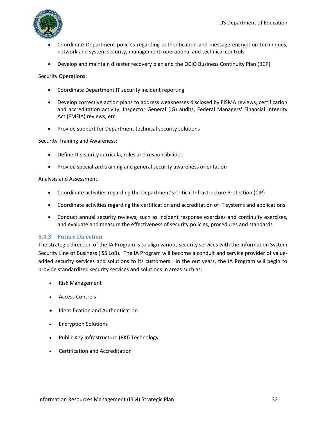

- Coordinate Department policies regarding authentication and message encryption techniques, network and system security, management, operational and technical controls
- Develop and maintain disaster recovery plan and the OCIO Business Continuity Plan (BCP)

Security Operations:

- Coordinate Department IT security incident reporting
- Develop corrective action plans to address weaknesses disclosed by FISMA reviews, certification and accreditation activity, Inspector General (IG) audits, Federal Managers' Financial Integrity Act (FMFIA) reviews, etc.
- Provide support for Department technical security solutions

Security Training and Awareness:

- Define IT security curricula, roles and responsibilities
- Provide specialized training and general security awareness orientation

Analysis and Assessment:

- Coordinate activities regarding the Department's Critical Infrastructure Protection (CIP)
- Coordinate activities regarding the certification and accreditation of IT systems and applications
- Conduct annual security reviews, such as incident response exercises and continuity exercises, and evaluate and measure the effectiveness of security policies, procedures and standards

#### <span id="page-31-0"></span>**5.4.3 Future Direction**

The strategic direction of the IA Program is to align various security services with the Information System Security Line of Business (ISS LoB). The IA Program will become a conduit and service provider of valueadded security services and solutions to its customers. In the out years, the IA Program will begin to provide standardized security services and solutions in areas such as:

- Risk Management
- Access Controls
- Identification and Authentication
- Encryption Solutions
- Public Key Infrastructure (PKI) Technology
- Certification and Accreditation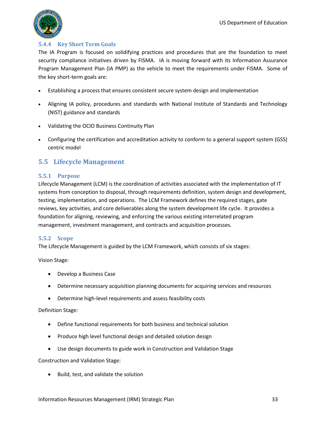

#### <span id="page-32-0"></span>**5.4.4 Key Short Term Goals**

The IA Program is focused on solidifying practices and procedures that are the foundation to meet security compliance initiatives driven by FISMA. IA is moving forward with its Information Assurance Program Management Plan (IA PMP) as the vehicle to meet the requirements under FISMA. Some of the key short-term goals are:

- Establishing a process that ensures consistent secure system design and implementation
- Aligning IA policy, procedures and standards with National Institute of Standards and Technology (NIST) guidance and standards
- Validating the OCIO Business Continuity Plan
- Configuring the certification and accreditation activity to conform to a general support system (GSS) centric model

### <span id="page-32-1"></span>**5.5 Lifecycle Management**

#### <span id="page-32-2"></span>**5.5.1 Purpose**

Lifecycle Management (LCM) is the coordination of activities associated with the implementation of IT systems from conception to disposal, through requirements definition, system design and development, testing, implementation, and operations. The LCM Framework defines the required stages, gate reviews, key activities, and core deliverables along the system development life cycle. It provides a foundation for aligning, reviewing, and enforcing the various existing interrelated program management, investment management, and contracts and acquisition processes.

#### <span id="page-32-3"></span>**5.5.2 Scope**

The Lifecycle Management is guided by the LCM Framework, which consists of six stages:

Vision Stage:

- Develop a Business Case
- Determine necessary acquisition planning documents for acquiring services and resources
- Determine high-level requirements and assess feasibility costs

#### Definition Stage:

- Define functional requirements for both business and technical solution
- Produce high level functional design and detailed solution design
- Use design documents to guide work in Construction and Validation Stage

Construction and Validation Stage:

Build, test, and validate the solution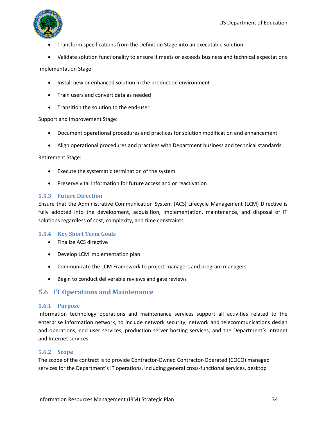

- Transform specifications from the Definition Stage into an executable solution
- Validate solution functionality to ensure it meets or exceeds business and technical expectations

Implementation Stage:

- Install new or enhanced solution in the production environment
- Train users and convert data as needed
- Transition the solution to the end-user

Support and Improvement Stage:

- Document operational procedures and practices for solution modification and enhancement
- Align operational procedures and practices with Department business and technical standards

Retirement Stage:

- Execute the systematic termination of the system
- Preserve vital information for future access and or reactivation

#### <span id="page-33-0"></span>**5.5.3 Future Direction**

Ensure that the Administrative Communication System (ACS) Lifecycle Management (LCM) Directive is fully adopted into the development, acquisition, implementation, maintenance, and disposal of IT solutions regardless of cost, complexity, and time constraints.

#### <span id="page-33-1"></span>**5.5.4 Key Short Term Goals**

- Finalize ACS directive
- Develop LCM implementation plan
- Communicate the LCM Framework to project managers and program managers
- Begin to conduct deliverable reviews and gate reviews

### <span id="page-33-2"></span>**5.6 IT Operations and Maintenance**

#### <span id="page-33-3"></span>**5.6.1 Purpose**

Information technology operations and maintenance services support all activities related to the enterprise information network, to include network security, network and telecommunications design and operations, end user services, production server hosting services, and the Department's intranet and Internet services.

#### <span id="page-33-4"></span>**5.6.2 Scope**

The scope of the contract is to provide Contractor-Owned Contractor-Operated (COCO) managed services for the Department's IT operations, including general cross-functional services, desktop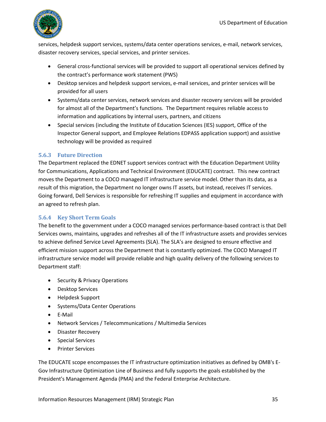

services, helpdesk support services, systems/data center operations services, e-mail, network services, disaster recovery services, special services, and printer services.

- General cross-functional services will be provided to support all operational services defined by the contract's performance work statement (PWS)
- Desktop services and helpdesk support services, e-mail services, and printer services will be provided for all users
- Systems/data center services, network services and disaster recovery services will be provided for almost all of the Department's functions. The Department requires reliable access to information and applications by internal users, partners, and citizens
- Special services (including the Institute of Education Sciences (IES) support, Office of the Inspector General support, and Employee Relations EDPASS application support) and assistive technology will be provided as required

### <span id="page-34-0"></span>**5.6.3 Future Direction**

The Department replaced the EDNET support services contract with the Education Department Utility for Communications, Applications and Technical Environment (EDUCATE) contract. This new contract moves the Department to a COCO managed IT infrastructure service model. Other than its data, as a result of this migration, the Department no longer owns IT assets, but instead, receives IT services. Going forward, Dell Services is responsible for refreshing IT supplies and equipment in accordance with an agreed to refresh plan.

#### <span id="page-34-1"></span>**5.6.4 Key Short Term Goals**

The benefit to the government under a COCO managed services performance-based contract is that Dell Services owns, maintains, upgrades and refreshes all of the IT infrastructure assets and provides services to achieve defined Service Level Agreements (SLA). The SLA's are designed to ensure effective and efficient mission support across the Department that is constantly optimized. The COCO Managed IT infrastructure service model will provide reliable and high quality delivery of the following services to Department staff:

- Security & Privacy Operations
- Desktop Services
- Helpdesk Support
- Systems/Data Center Operations
- E-Mail
- Network Services / Telecommunications / Multimedia Services
- Disaster Recovery
- Special Services
- Printer Services

The EDUCATE scope encompasses the IT infrastructure optimization initiatives as defined by OMB's E-Gov Infrastructure Optimization Line of Business and fully supports the goals established by the President's Management Agenda (PMA) and the Federal Enterprise Architecture.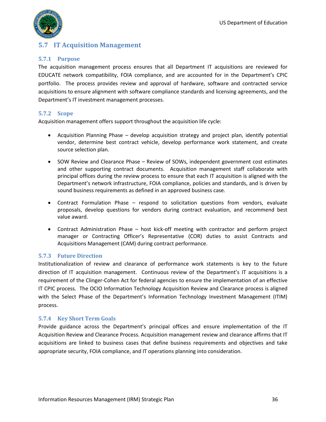

## <span id="page-35-0"></span>**5.7 IT Acquisition Management**

#### <span id="page-35-1"></span>**5.7.1 Purpose**

The acquisition management process ensures that all Department IT acquisitions are reviewed for EDUCATE network compatibility, FOIA compliance, and are accounted for in the Department's CPIC portfolio. The process provides review and approval of hardware, software and contracted service acquisitions to ensure alignment with software compliance standards and licensing agreements, and the Department's IT investment management processes.

#### <span id="page-35-2"></span>**5.7.2 Scope**

Acquisition management offers support throughout the acquisition life cycle:

- Acquisition Planning Phase develop acquisition strategy and project plan, identify potential vendor, determine best contract vehicle, develop performance work statement, and create source selection plan.
- SOW Review and Clearance Phase Review of SOWs, independent government cost estimates and other supporting contract documents. Acquisition management staff collaborate with principal offices during the review process to ensure that each IT acquisition is aligned with the Department's network infrastructure, FOIA compliance, policies and standards, and is driven by sound business requirements as defined in an approved business case.
- Contract Formulation Phase respond to solicitation questions from vendors, evaluate proposals, develop questions for vendors during contract evaluation, and recommend best value award.
- Contract Administration Phase host kick-off meeting with contractor and perform project manager or Contracting Officer's Representative (COR) duties to assist Contracts and Acquisitions Management (CAM) during contract performance.

#### <span id="page-35-3"></span>**5.7.3 Future Direction**

Institutionalization of review and clearance of performance work statements is key to the future direction of IT acquisition management. Continuous review of the Department's IT acquisitions is a requirement of the Clinger-Cohen Act for federal agencies to ensure the implementation of an effective IT CPIC process*.* The OCIO Information Technology Acquisition Review and Clearance process is aligned with the Select Phase of the Department's Information Technology Investment Management (ITIM) process.

#### <span id="page-35-4"></span>**5.7.4 Key Short Term Goals**

Provide guidance across the Department's principal offices and ensure implementation of the IT Acquisition Review and Clearance Process. Acquisition management review and clearance affirms that IT acquisitions are linked to business cases that define business requirements and objectives and take appropriate security, FOIA compliance, and IT operations planning into consideration.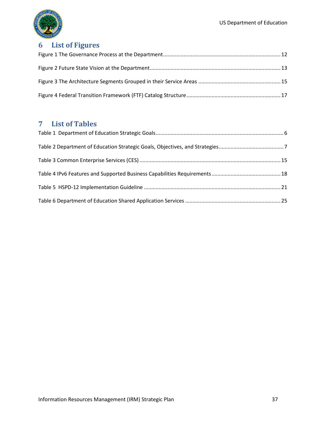

## <span id="page-36-0"></span>**6 List of Figures**

## <span id="page-36-1"></span>**7 List of Tables**